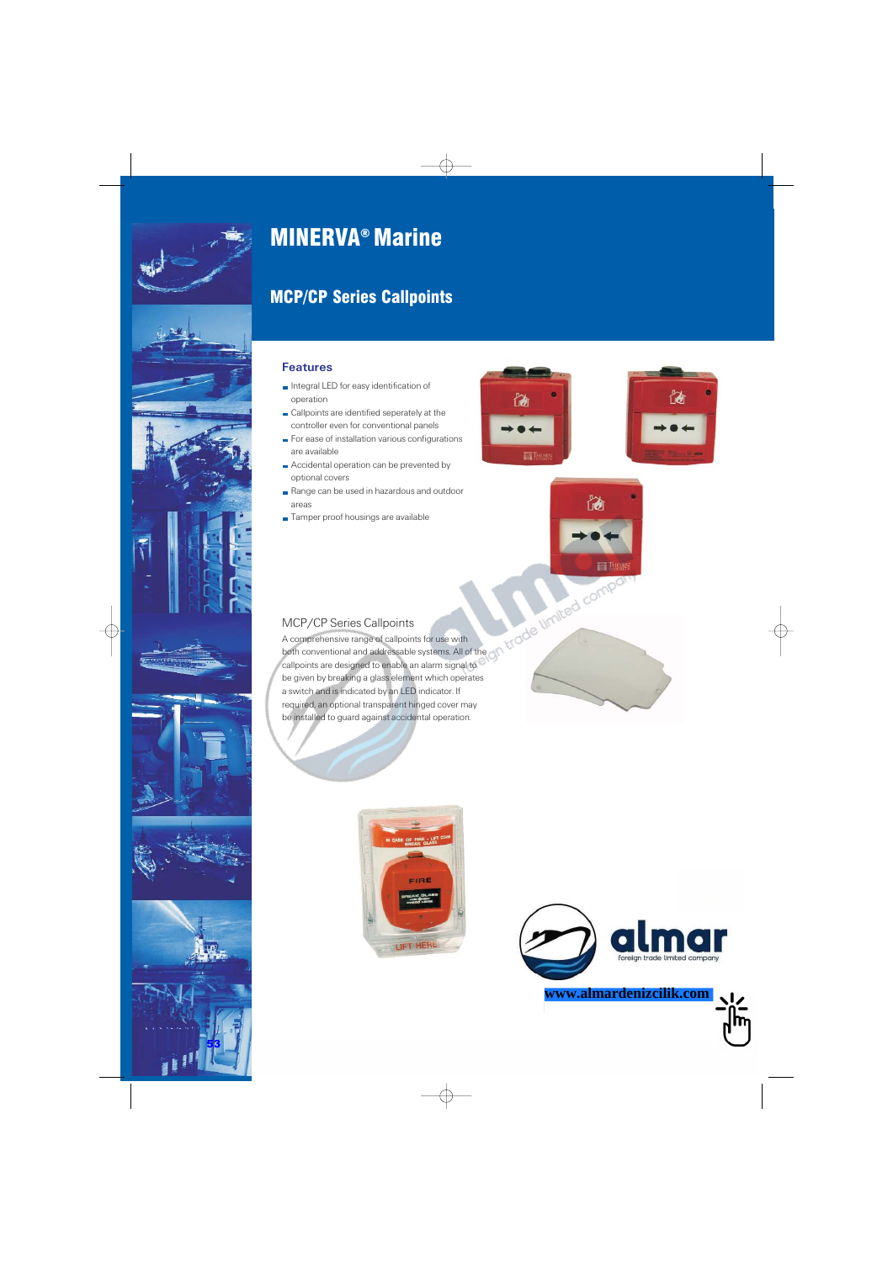











# MINERVA ® Marine

# MCP/CP Series Callpoints

# **Features**

- Integral LED for easy identification of operation
- Callpoints are identified seperately at the controller even for conventional panels
- For ease of installation various configurations are available
- Accidental operation can be prevented by optional covers
- Range can be used in hazardous and outdoor areas
- Tamper proof housings are available







# MCP/CP Series Callpoints

A comprehensive range of callpoints for use with both conventional and addressable systems. All of the callpoints are designed to enable an alarm signal to be given by breaking a glass element which operates a switch and is indicated by an LED indicator. If required, an optional transparent hinged cover may be installed to guard against accidental operation.